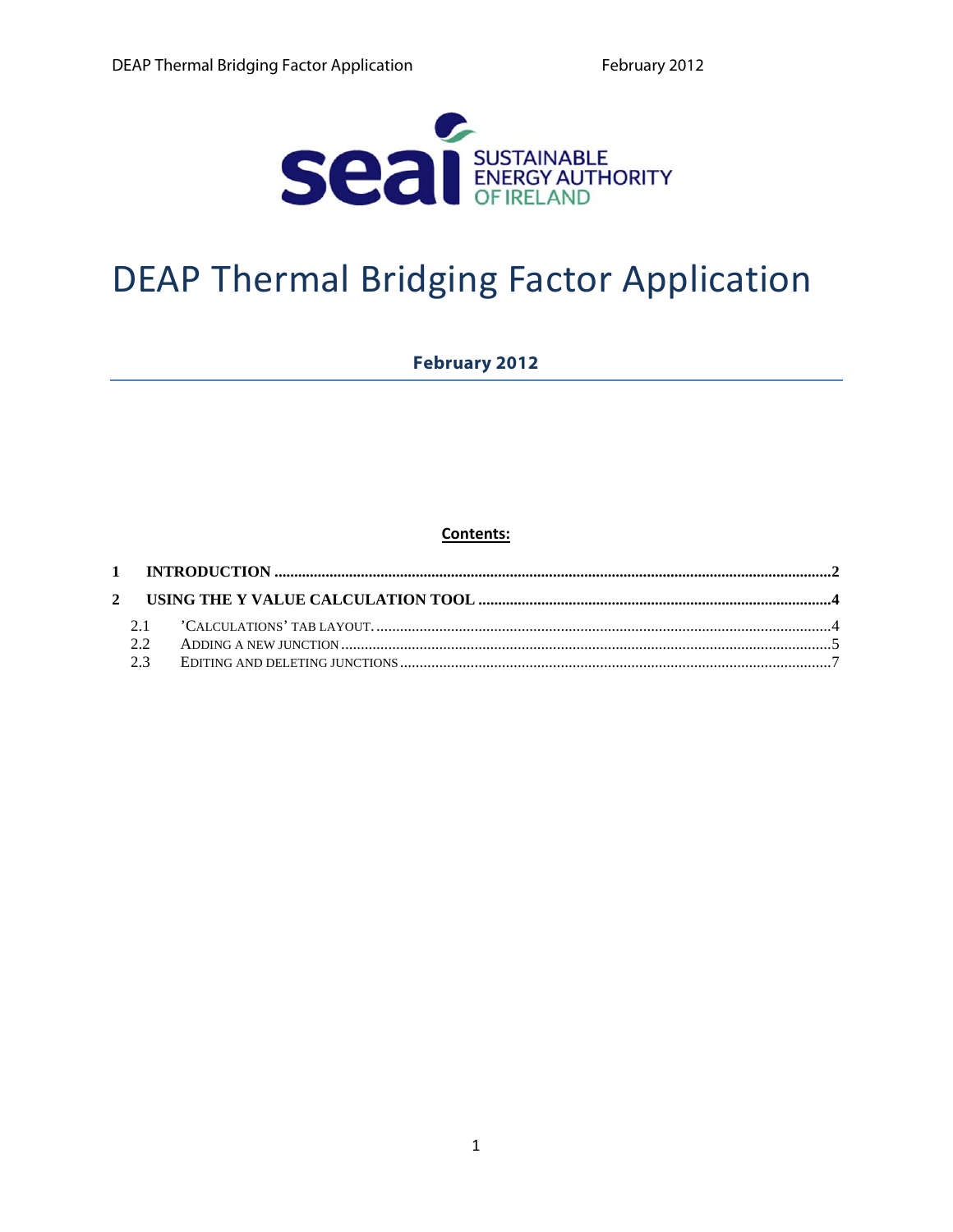

# **DEAP Thermal Bridging Factor Application**

### **February 2012**

Contents: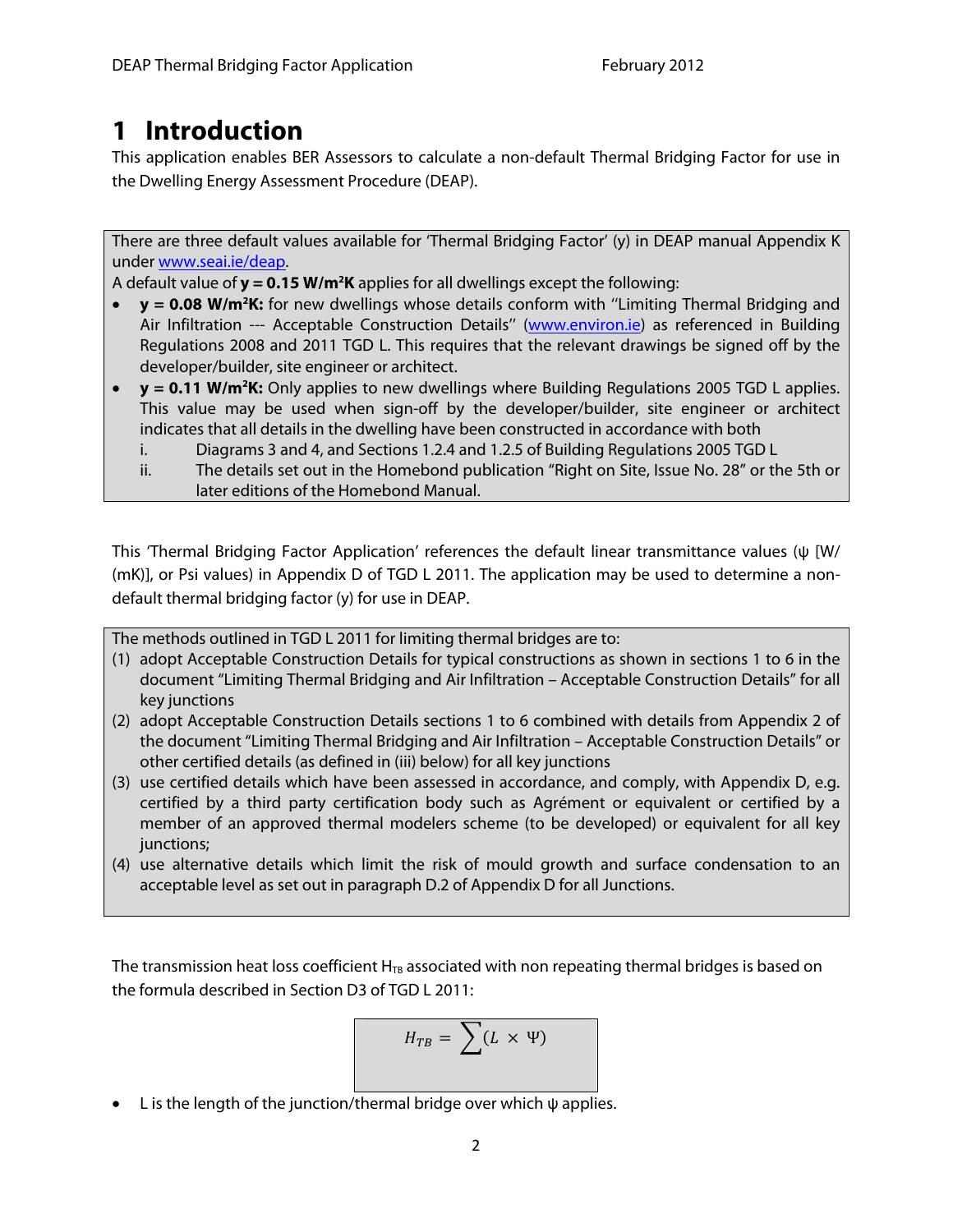# <span id="page-1-0"></span>**1 Introduction**

This application enables BER Assessors to calculate a non-default Thermal Bridging Factor for use in the Dwelling Energy Assessment Procedure (DEAP).

There are three default values available for 'Thermal Bridging Factor' (y) in DEAP manual Appendix K under www.seai.ie/deap.

A default value of **y = 0.15 W/m<sup>2</sup>K** applies for all dwellings except the following:

- **• y** = 0.08 W/m<sup>2</sup>K: for new dwellings whose details conform with "Limiting Thermal Bridging and Air Infiltration --- Acceptable Construction Details" (www.environ.ie) as referenced in Building Regulations 2008 and 2011 TGD L. This requires that the relevant drawings be signed off by the developer/builder, site engineer or architect.
- **y = 0.11 W/m2 K:** Only applies to new dwellings where Building Regulations 2005 TGD L applies. This value may be used when sign-off by the developer/builder, site engineer or architect indicates that all details in the dwelling have been constructed in accordance with both
	- i. Diagrams 3 and 4, and Sections 1.2.4 and 1.2.5 of Building Regulations 2005 TGD L
	- ii. The details set out in the Homebond publication "Right on Site, Issue No. 28" or the 5th or later editions of the Homebond Manual.

This 'Thermal Bridging Factor Application' references the default linear transmittance values (ψ [W/ (mK)], or Psi values) in Appendix D of TGD L 2011. The application may be used to determine a nondefault thermal bridging factor (y) for use in DEAP.

The methods outlined in TGD L 2011 for limiting thermal bridges are to:

- (1) adopt Acceptable Construction Details for typical constructions as shown in sections 1 to 6 in the document "Limiting Thermal Bridging and Air Infiltration – Acceptable Construction Details" for all key junctions
- (2) adopt Acceptable Construction Details sections 1 to 6 combined with details from Appendix 2 of the document "Limiting Thermal Bridging and Air Infiltration – Acceptable Construction Details" or other certified details (as defined in (iii) below) for all key junctions
- (3) use certified details which have been assessed in accordance, and comply, with Appendix D, e.g. certified by a third party certification body such as Agrément or equivalent or certified by a member of an approved thermal modelers scheme (to be developed) or equivalent for all key junctions;
- (4) use alternative details which limit the risk of mould growth and surface condensation to an acceptable level as set out in paragraph D.2 of Appendix D for all Junctions.

The transmission heat loss coefficient  $H_{TB}$  associated with non repeating thermal bridges is based on the formula described in Section D3 of TGD L 2011:

$$
H_{TB} = \sum (L \times \Psi)
$$

 $\bullet$  L is the length of the junction/thermal bridge over which  $\psi$  applies.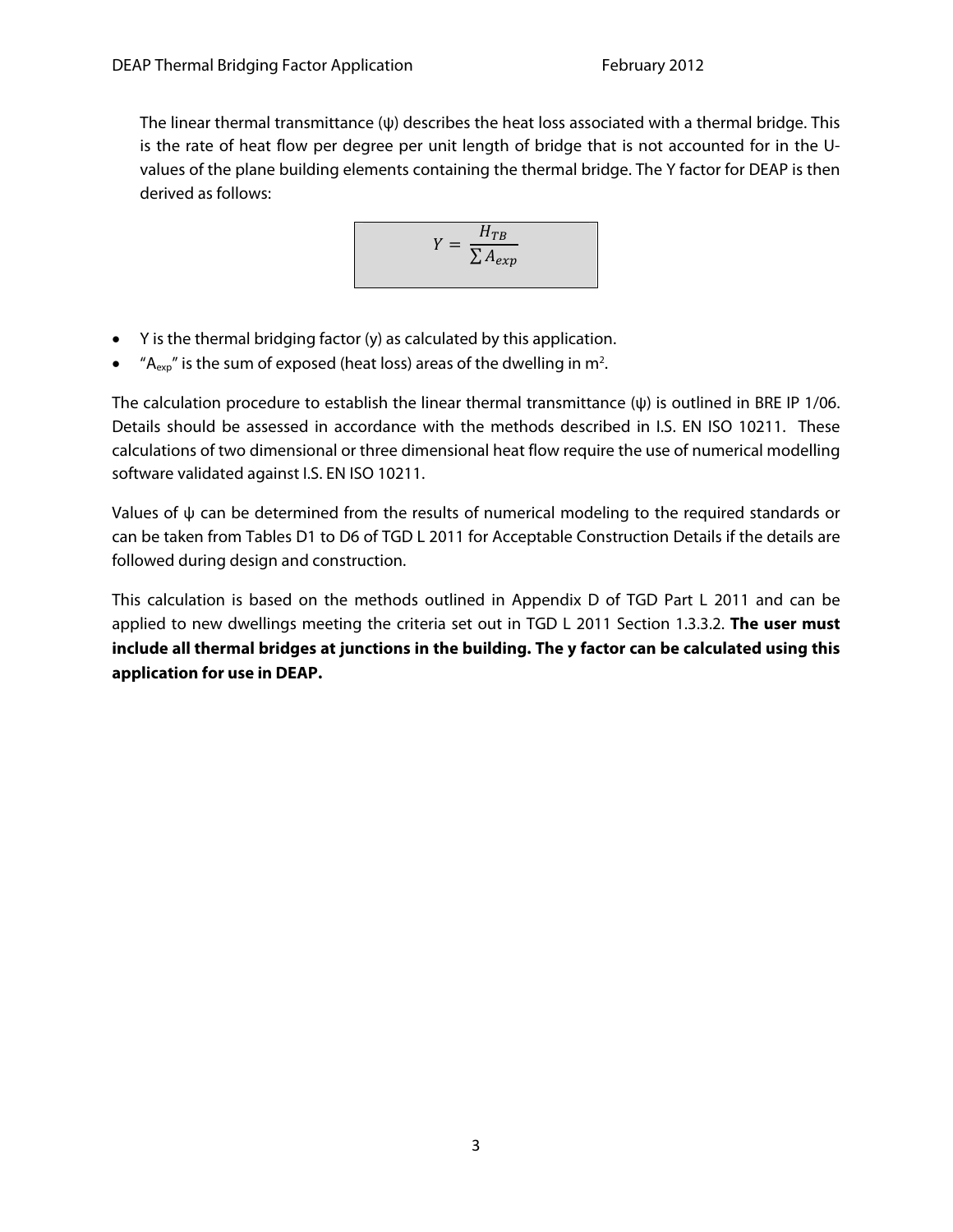The linear thermal transmittance (ψ) describes the heat loss associated with a thermal bridge. This is the rate of heat flow per degree per unit length of bridge that is not accounted for in the Uvalues of the plane building elements containing the thermal bridge. The Y factor for DEAP is then derived as follows:

$$
Y = \frac{H_{TB}}{\sum A_{exp}}
$$

- Y is the thermal bridging factor (y) as calculated by this application.
- $A_{\text{exp}}$ " is the sum of exposed (heat loss) areas of the dwelling in m<sup>2</sup>.

The calculation procedure to establish the linear thermal transmittance  $(\psi)$  is outlined in BRE IP 1/06. Details should be assessed in accordance with the methods described in I.S. EN ISO 10211. These calculations of two dimensional or three dimensional heat flow require the use of numerical modelling software validated against I.S. EN ISO 10211.

Values of  $\psi$  can be determined from the results of numerical modeling to the required standards or can be taken from Tables D1 to D6 of TGD L 2011 for Acceptable Construction Details if the details are followed during design and construction.

This calculation is based on the methods outlined in Appendix D of TGD Part L 2011 and can be applied to new dwellings meeting the criteria set out in TGD L 2011 Section 1.3.3.2. **The user must include all thermal bridges at junctions in the building. The y factor can be calculated using this application for use in DEAP.**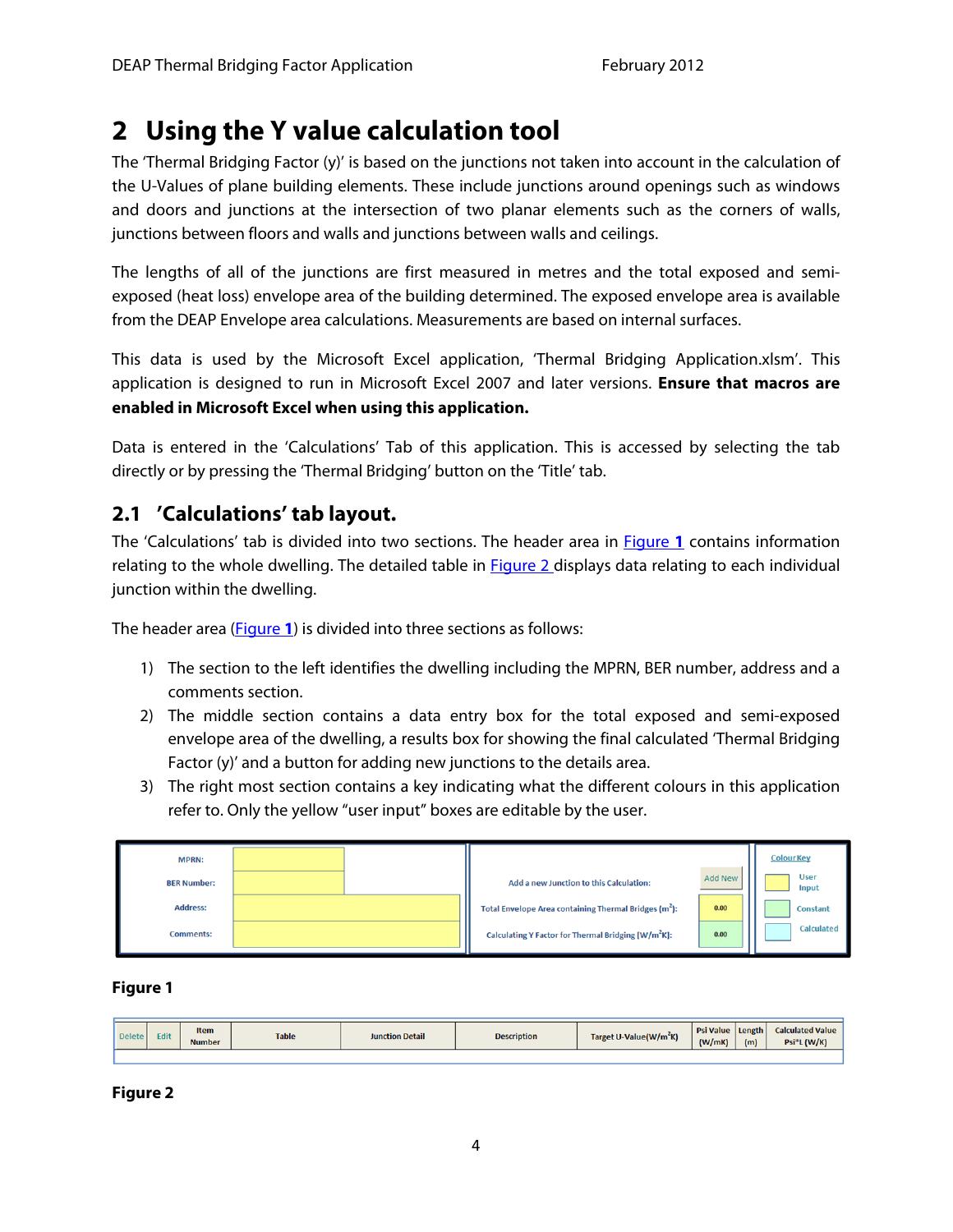# <span id="page-3-0"></span>**2 Using the Y value calculation tool**

The 'Thermal Bridging Factor (y)' is based on the junctions not taken into account in the calculation of the U-Values of plane building elements. These include junctions around openings such as windows and doors and junctions at the intersection of two planar elements such as the corners of walls, junctions between floors and walls and junctions between walls and ceilings.

The lengths of all of the junctions are first measured in metres and the total exposed and semiexposed (heat loss) envelope area of the building determined. The exposed envelope area is available from the DEAP Envelope area calculations. Measurements are based on internal surfaces.

This data is used by the Microsoft Excel application, 'Thermal Bridging Application.xlsm'. This application is designed to run in Microsoft Excel 2007 and later versions. **Ensure that macros are enabled in Microsoft Excel when using this application.** 

Data is entered in the 'Calculations' Tab of this application. This is accessed by selecting the tab directly or by pressing the 'Thermal Bridging' button on the 'Title' tab.

# **2.1 'Calculations' tab layout.**

The 'Calculations' tab is divided into two sections. The header area in Figure **1** contains information relating to the whole dwelling. The detailed table in **Figure 2** displays data relating to each individual junction within the dwelling.

The header area (Figure **1**) is divided into three sections as follows:

- 1) The section to the left identifies the dwelling including the MPRN, BER number, address and a comments section.
- 2) The middle section contains a data entry box for the total exposed and semi-exposed envelope area of the dwelling, a results box for showing the final calculated 'Thermal Bridging Factor (y)' and a button for adding new junctions to the details area.
- 3) The right most section contains a key indicating what the different colours in this application refer to. Only the yellow "user input" boxes are editable by the user.

| <b>MPRN:</b>       |  |                                                                   |                | <b>Colour Key</b>    |  |
|--------------------|--|-------------------------------------------------------------------|----------------|----------------------|--|
| <b>BER Number:</b> |  | Add a new Junction to this Calculation:                           | <b>Add New</b> | <b>User</b><br>Input |  |
| <b>Address:</b>    |  | Total Envelope Area containing Thermal Bridges (m <sup>2</sup> ): | 0.00           | <b>Constant</b>      |  |
| <b>Comments:</b>   |  | Calculating Y Factor for Thermal Bridging [W/m <sup>2</sup> K]:   | 0.00           | Calculated           |  |

**Figure 1** 

| <b>Delete</b> | Edit | <b>Item</b><br><b>Number</b> | <b>Table</b> | <b>Junction Detail</b> | <b>Description</b> | Target U-Value(W/m <sup>2</sup> K) | <b>Psi Value</b><br>(W/mK) | Length<br>(m) | <b>Calculated Value</b><br>Psi*L(W/K) |
|---------------|------|------------------------------|--------------|------------------------|--------------------|------------------------------------|----------------------------|---------------|---------------------------------------|
|               |      |                              |              |                        |                    |                                    |                            |               |                                       |

**Figure 2**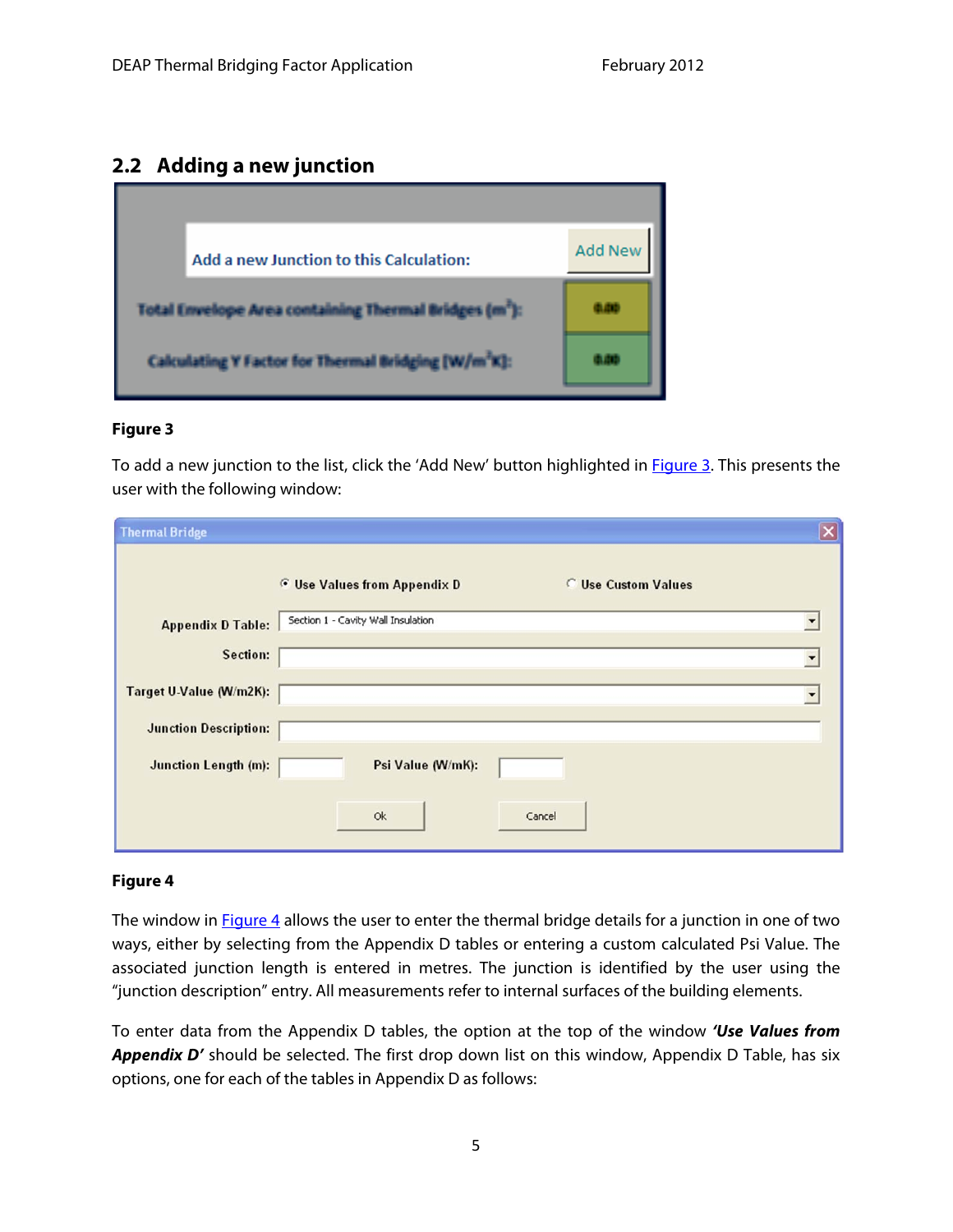### <span id="page-4-0"></span>**2.2 Adding a new junction**



#### **Figure 3**

To add a new junction to the list, click the 'Add New' button highlighted in **Figure 3**. This presents the user with the following window:

| <b>Thermal Bridge</b>        |                                                                          | $\overline{\mathbf{x}}$ |
|------------------------------|--------------------------------------------------------------------------|-------------------------|
|                              | <b>C</b> Use Custom Values<br><b><i>G</i></b> Use Values from Appendix D |                         |
| <b>Appendix D Table:</b>     | Section 1 - Cavity Wall Insulation                                       |                         |
| Section:                     |                                                                          |                         |
| Target U-Value (W/m2K):      |                                                                          |                         |
| <b>Junction Description:</b> |                                                                          |                         |
| <b>Junction Length (m):</b>  | Psi Value (W/mK):                                                        |                         |
|                              | Ok<br>Cancel                                                             |                         |

#### **Figure 4**

The window in **Figure 4** allows the user to enter the thermal bridge details for a junction in one of two ways, either by selecting from the Appendix D tables or entering a custom calculated Psi Value. The associated junction length is entered in metres. The junction is identified by the user using the "junction description" entry. All measurements refer to internal surfaces of the building elements.

To enter data from the Appendix D tables, the option at the top of the window **'Use Values from**  Appendix D' should be selected. The first drop down list on this window, Appendix D Table, has six options, one for each of the tables in Appendix D as follows: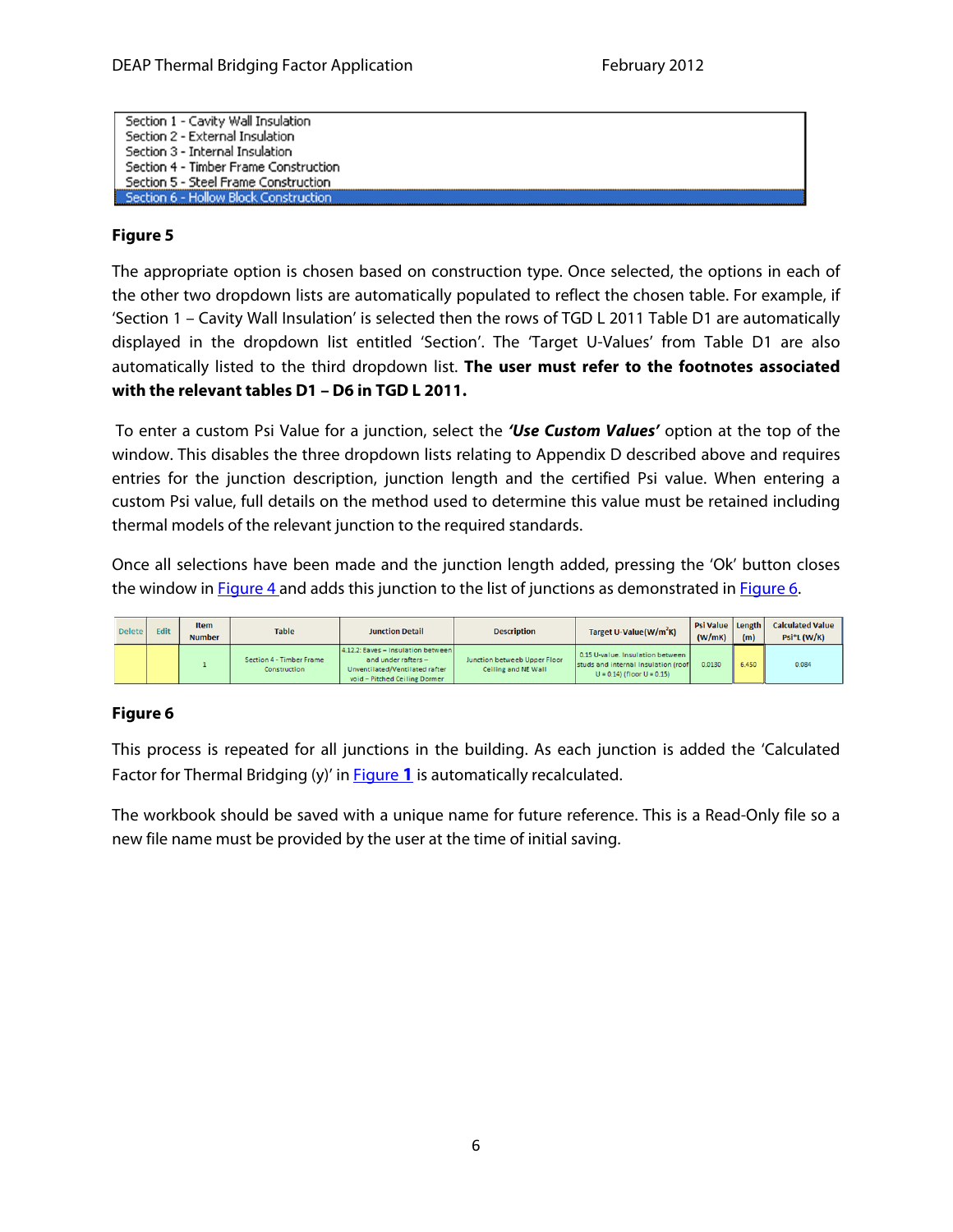<span id="page-5-0"></span>

| Section 1 - Cavity Wall Insulation           |  |
|----------------------------------------------|--|
| Section 2 - External Insulation              |  |
| Section 3 - Internal Insulation              |  |
| Section 4 - Timber Frame Construction        |  |
| Section 5 - Steel Frame Construction         |  |
| <b>Section 6 - Hollow Block Construction</b> |  |

#### **Figure 5**

The appropriate option is chosen based on construction type. Once selected, the options in each of the other two dropdown lists are automatically populated to reflect the chosen table. For example, if 'Section 1 – Cavity Wall Insulation' is selected then the rows of TGD L 2011 Table D1 are automatically displayed in the dropdown list entitled 'Section'. The 'Target U-Values' from Table D1 are also automatically listed to the third dropdown list. **The user must refer to the footnotes associated with the relevant tables D1 – D6 in TGD L 2011.**

 To enter a custom Psi Value for a junction, select the **'Use Custom Values'** option at the top of the window. This disables the three dropdown lists relating to Appendix D described above and requires entries for the junction description, junction length and the certified Psi value. When entering a custom Psi value, full details on the method used to determine this value must be retained including thermal models of the relevant junction to the required standards.

Once all selections have been made and the junction length added, pressing the 'Ok' button closes the window in **Figure 4** and adds this junction to the list of junctions as demonstrated in **Figure 6**.

| Delete | <b>Edit</b> | <b>Item</b><br><b>Number</b> | <b>Table</b>                             | <b>Junction Detail</b>                                                                                                       | <b>Description</b>                                  | Target U-Value(W/m <sup>2</sup> K)                                                                         | Psi Value Length<br>(W/mK) | (m)   | <b>Calculated Value</b><br>$Psi^*L$ (W/K) |
|--------|-------------|------------------------------|------------------------------------------|------------------------------------------------------------------------------------------------------------------------------|-----------------------------------------------------|------------------------------------------------------------------------------------------------------------|----------------------------|-------|-------------------------------------------|
|        |             |                              | Section 4 - Timber Frame<br>Construction | 4.12.2: Eaves - Insulation between<br>and under rafters -<br>Unventilated/Ventilated rafter<br>void - Pitched Ceiling Dormer | Junction betweeb Upper Floor<br>Ceiling and NE Wall | 0.15 U-value, Insulation between<br>studs and internal Insulation (roof)<br>$U = 0.14$ (floor $U = 0.15$ ) | 0.0130                     | 6.450 | 0.084                                     |

#### **Figure 6**

This process is repeated for all junctions in the building. As each junction is added the 'Calculated Factor for Thermal Bridging (y)' in [Figure](#page-3-0) **1** is automatically recalculated.

The workbook should be saved with a unique name for future reference. This is a Read-Only file so a new file name must be provided by the user at the time of initial saving.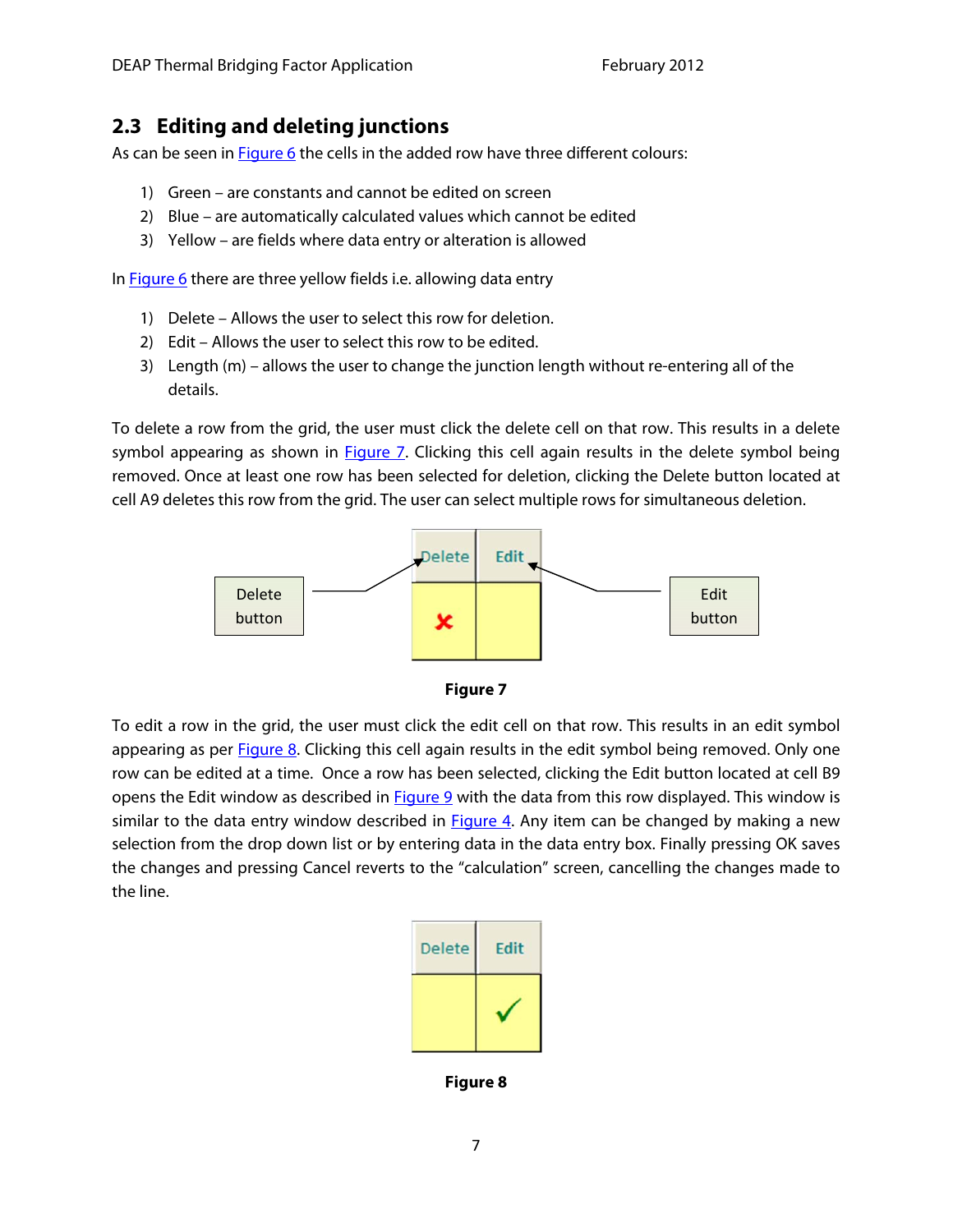# <span id="page-6-0"></span>**2.3 Editing and deleting junctions**

As can be seen in **Figure 6** the cells in the added row have three different colours:

- 1) Green are constants and cannot be edited on screen
- 2) Blue are automatically calculated values which cannot be edited
- 3) Yellow are fields where data entry or alteration is allowed

In **Figure 6** there are three yellow fields i.e. allowing data entry

- 1) Delete Allows the user to select this row for deletion.
- 2) Edit Allows the user to select this row to be edited.
- 3) Length (m) allows the user to change the junction length without re-entering all of the details.

To delete a row from the grid, the user must click the delete cell on that row. This results in a delete symbol appearing as shown in **Figure 7**. Clicking this cell again results in the delete symbol being removed. Once at least one row has been selected for deletion, clicking the Delete button located at cell A9 deletes this row from the grid. The user can select multiple rows for simultaneous deletion.





To edit a row in the grid, the user must click the edit cell on that row. This results in an edit symbol appearing as per Figure 8. Clicking this cell again results in the edit symbol being removed. Only one row can be edited at a time. Once a row has been selected, clicking the Edit button located at cell B9 opens the Edit window as described in **Figure 9** with the data from this row displayed. This window is similar to the data entry window described in **[Figure 4](#page-4-0)**. Any item can be changed by making a new selection from the drop down list or by entering data in the data entry box. Finally pressing OK saves the changes and pressing Cancel reverts to the "calculation" screen, cancelling the changes made to the line.

| <b>Delete</b> | <b>Edit</b> |
|---------------|-------------|
|               |             |

**Figure 8**